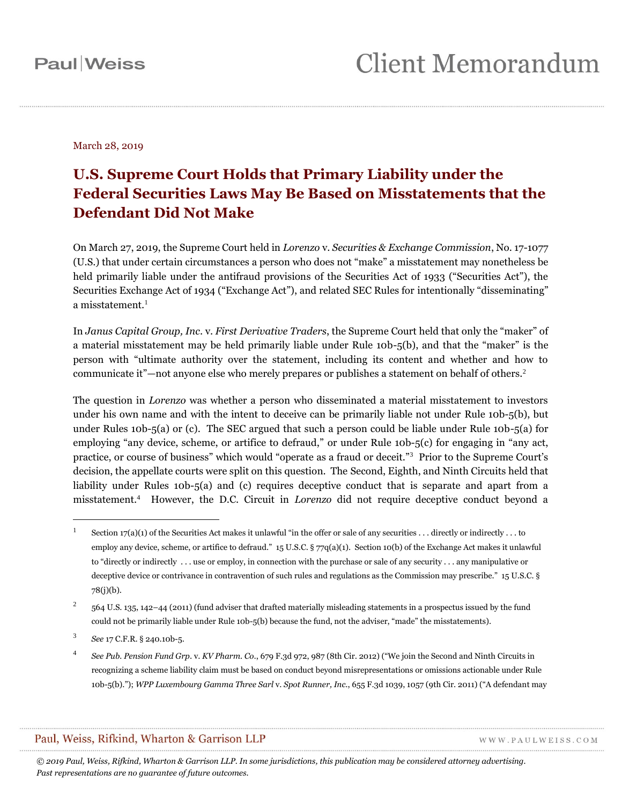March 28, 2019

### **U.S. Supreme Court Holds that Primary Liability under the Federal Securities Laws May Be Based on Misstatements that the Defendant Did Not Make**

On March 27, 2019, the Supreme Court held in *Lorenzo* v. *Securities & Exchange Commission*, No. 17-1077 (U.S.) that under certain circumstances a person who does not "make" a misstatement may nonetheless be held primarily liable under the antifraud provisions of the Securities Act of 1933 ("Securities Act"), the Securities Exchange Act of 1934 ("Exchange Act"), and related SEC Rules for intentionally "disseminating" a misstatement. $1$ 

In *Janus Capital Group, Inc*. v. *First Derivative Traders*, the Supreme Court held that only the "maker" of a material misstatement may be held primarily liable under Rule 10b-5(b), and that the "maker" is the person with "ultimate authority over the statement, including its content and whether and how to communicate it"—not anyone else who merely prepares or publishes a statement on behalf of others.<sup>2</sup>

The question in *Lorenzo* was whether a person who disseminated a material misstatement to investors under his own name and with the intent to deceive can be primarily liable not under Rule 10b-5(b), but under Rules 10b-5(a) or (c). The SEC argued that such a person could be liable under Rule 10b-5(a) for employing "any device, scheme, or artifice to defraud," or under Rule 10b-5(c) for engaging in "any act, practice, or course of business" which would "operate as a fraud or deceit."<sup>3</sup> Prior to the Supreme Court's decision, the appellate courts were split on this question. The Second, Eighth, and Ninth Circuits held that liability under Rules 10b-5(a) and (c) requires deceptive conduct that is separate and apart from a misstatement.<sup>4</sup> However, the D.C. Circuit in *Lorenzo* did not require deceptive conduct beyond a

 $\overline{a}$ 

#### Paul, Weiss, Rifkind, Wharton & Garrison LLP

WWW.PAULWEISS.COM

*© 2019 Paul, Weiss, Rifkind, Wharton & Garrison LLP. In some jurisdictions, this publication may be considered attorney advertising. Past representations are no guarantee of future outcomes.*

<sup>1</sup> Section  $17(a)(1)$  of the Securities Act makes it unlawful "in the offer or sale of any securities ... directly or indirectly ... to employ any device, scheme, or artifice to defraud." 15 U.S.C. § 77q(a)(1). Section 10(b) of the Exchange Act makes it unlawful to "directly or indirectly . . . use or employ, in connection with the purchase or sale of any security . . . any manipulative or deceptive device or contrivance in contravention of such rules and regulations as the Commission may prescribe." 15 U.S.C. § 78(j)(b).

<sup>2</sup> 564 U.S. 135, 142–44 (2011) (fund adviser that drafted materially misleading statements in a prospectus issued by the fund could not be primarily liable under Rule 10b-5(b) because the fund, not the adviser, "made" the misstatements).

<sup>3</sup> *See* 17 C.F.R. § 240.10b-5.

<sup>4</sup> *See Pub. Pension Fund Grp*. v. *KV Pharm. Co*., 679 F.3d 972, 987 (8th Cir. 2012) ("We join the Second and Ninth Circuits in recognizing a scheme liability claim must be based on conduct beyond misrepresentations or omissions actionable under Rule 10b-5(b)."); *WPP Luxembourg Gamma Three Sarl* v. *Spot Runner, Inc*., 655 F.3d 1039, 1057 (9th Cir. 2011) ("A defendant may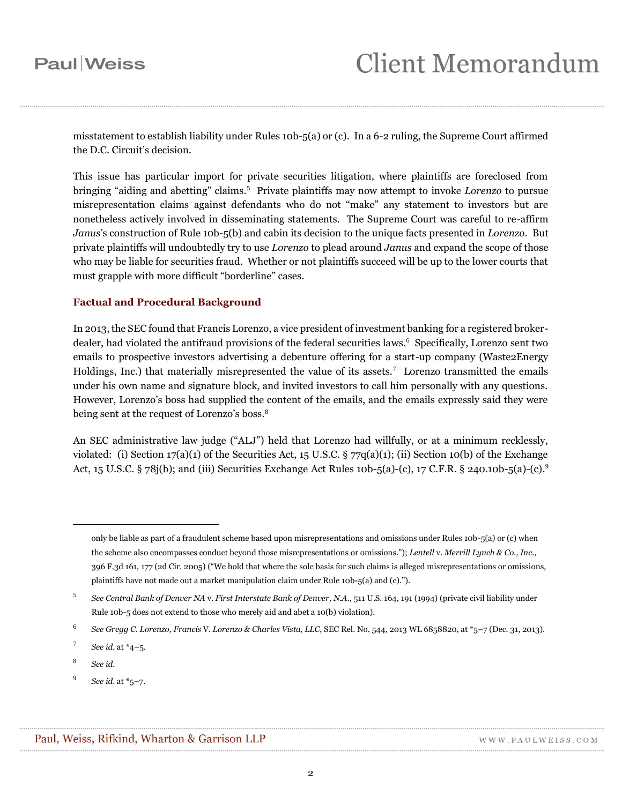misstatement to establish liability under Rules 10b-5(a) or (c). In a 6-2 ruling, the Supreme Court affirmed the D.C. Circuit's decision.

This issue has particular import for private securities litigation, where plaintiffs are foreclosed from bringing "aiding and abetting" claims.<sup>5</sup> Private plaintiffs may now attempt to invoke *Lorenzo* to pursue misrepresentation claims against defendants who do not "make" any statement to investors but are nonetheless actively involved in disseminating statements. The Supreme Court was careful to re-affirm *Janus*'s construction of Rule 10b-5(b) and cabin its decision to the unique facts presented in *Lorenzo*. But private plaintiffs will undoubtedly try to use *Lorenzo* to plead around *Janus* and expand the scope of those who may be liable for securities fraud. Whether or not plaintiffs succeed will be up to the lower courts that must grapple with more difficult "borderline" cases.

### **Factual and Procedural Background**

In 2013, the SEC found that Francis Lorenzo, a vice president of investment banking for a registered brokerdealer, had violated the antifraud provisions of the federal securities laws.<sup>6</sup> Specifically, Lorenzo sent two emails to prospective investors advertising a debenture offering for a start-up company (Waste2Energy Holdings, Inc.) that materially misrepresented the value of its assets.<sup>7</sup> Lorenzo transmitted the emails under his own name and signature block, and invited investors to call him personally with any questions. However, Lorenzo's boss had supplied the content of the emails, and the emails expressly said they were being sent at the request of Lorenzo's boss.<sup>8</sup>

An SEC administrative law judge ("ALJ") held that Lorenzo had willfully, or at a minimum recklessly, violated: (i) Section  $17(a)(1)$  of the Securities Act,  $15 \text{ U.S.C.}$  §  $77q(a)(1)$ ; (ii) Section 10(b) of the Exchange Act, 15 U.S.C. § 78j(b); and (iii) Securities Exchange Act Rules 10b-5(a)-(c), 17 C.F.R. § 240.10b-5(a)-(c).<sup>9</sup>

only be liable as part of a fraudulent scheme based upon misrepresentations and omissions under Rules 10b-5(a) or (c) when the scheme also encompasses conduct beyond those misrepresentations or omissions."); *Lentell* v. *Merrill Lynch & Co., Inc*., 396 F.3d 161, 177 (2d Cir. 2005) ("We hold that where the sole basis for such claims is alleged misrepresentations or omissions, plaintiffs have not made out a market manipulation claim under Rule 10b-5(a) and (c).").

<sup>5</sup> *See Central Bank of Denver NA* v. *First Interstate Bank of Denver, N.A*., 511 U.S. 164, 191 (1994) (private civil liability under Rule 10b-5 does not extend to those who merely aid and abet a 10(b) violation).

<sup>6</sup> *See Gregg C. Lorenzo, Francis* V. *Lorenzo & Charles Vista, LLC*, SEC Rel. No. 544, 2013 WL 6858820, at \*5–7 (Dec. 31, 2013).

<sup>7</sup> *See id*. at \*4–5.

<sup>8</sup> *See id*.

<sup>9</sup> *See id*. at \*5–7.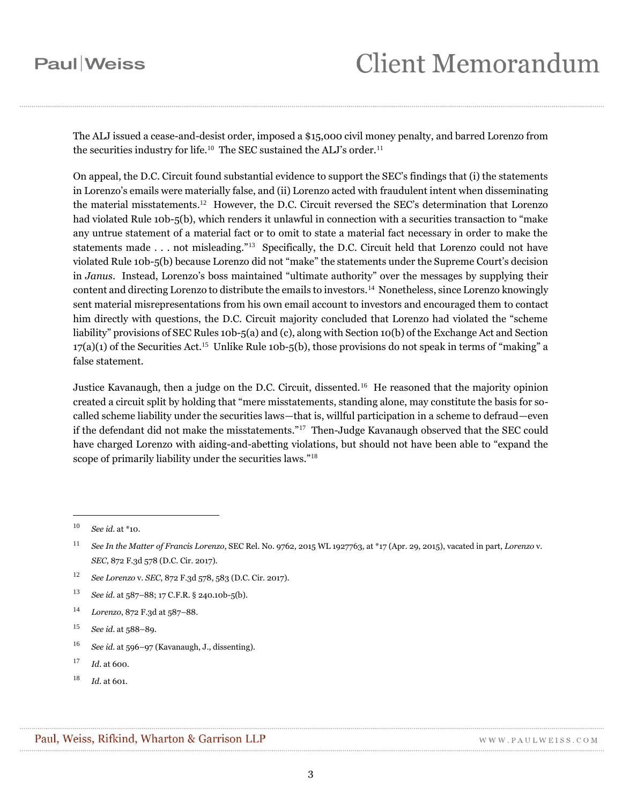The ALJ issued a cease-and-desist order, imposed a \$15,000 civil money penalty, and barred Lorenzo from the securities industry for life.<sup>10</sup> The SEC sustained the ALJ's order.<sup>11</sup>

On appeal, the D.C. Circuit found substantial evidence to support the SEC's findings that (i) the statements in Lorenzo's emails were materially false, and (ii) Lorenzo acted with fraudulent intent when disseminating the material misstatements. 12 However, the D.C. Circuit reversed the SEC's determination that Lorenzo had violated Rule 10b-5(b), which renders it unlawful in connection with a securities transaction to "make any untrue statement of a material fact or to omit to state a material fact necessary in order to make the statements made . . . not misleading."<sup>13</sup> Specifically, the D.C. Circuit held that Lorenzo could not have violated Rule 10b-5(b) because Lorenzo did not "make" the statements under the Supreme Court's decision in *Janus*. Instead, Lorenzo's boss maintained "ultimate authority" over the messages by supplying their content and directing Lorenzo to distribute the emails to investors.<sup>14</sup> Nonetheless, since Lorenzo knowingly sent material misrepresentations from his own email account to investors and encouraged them to contact him directly with questions, the D.C. Circuit majority concluded that Lorenzo had violated the "scheme liability" provisions of SEC Rules 10b-5(a) and (c), along with Section 10(b) of the Exchange Act and Section  $17(a)(1)$  of the Securities Act.<sup>15</sup> Unlike Rule 10b-5(b), those provisions do not speak in terms of "making" a false statement.

Justice Kavanaugh, then a judge on the D.C. Circuit, dissented.<sup>16</sup> He reasoned that the majority opinion created a circuit split by holding that "mere misstatements, standing alone, may constitute the basis for socalled scheme liability under the securities laws—that is, willful participation in a scheme to defraud—even if the defendant did not make the misstatements."<sup>17</sup> Then-Judge Kavanaugh observed that the SEC could have charged Lorenzo with aiding-and-abetting violations, but should not have been able to "expand the scope of primarily liability under the securities laws."<sup>18</sup>

 $\overline{a}$ 

<sup>16</sup> *See id*. at 596–97 (Kavanaugh, J., dissenting).

<sup>10</sup> *See id*. at \*10.

<sup>11</sup> *See In the Matter of Francis Lorenzo*, SEC Rel. No. 9762, 2015 WL 1927763, at \*17 (Apr. 29, 2015), vacated in part, *Lorenzo* v. *SEC*, 872 F.3d 578 (D.C. Cir. 2017).

<sup>12</sup> *See Lorenzo* v. *SEC*, 872 F.3d 578, 583 (D.C. Cir. 2017).

<sup>13</sup> *See id*. at 587–88; 17 C.F.R. § 240.10b-5(b).

<sup>14</sup> *Lorenzo*, 872 F.3d at 587–88.

<sup>15</sup> *See id*. at 588–89.

<sup>17</sup> *Id*. at 600.

<sup>18</sup> *Id*. at 601.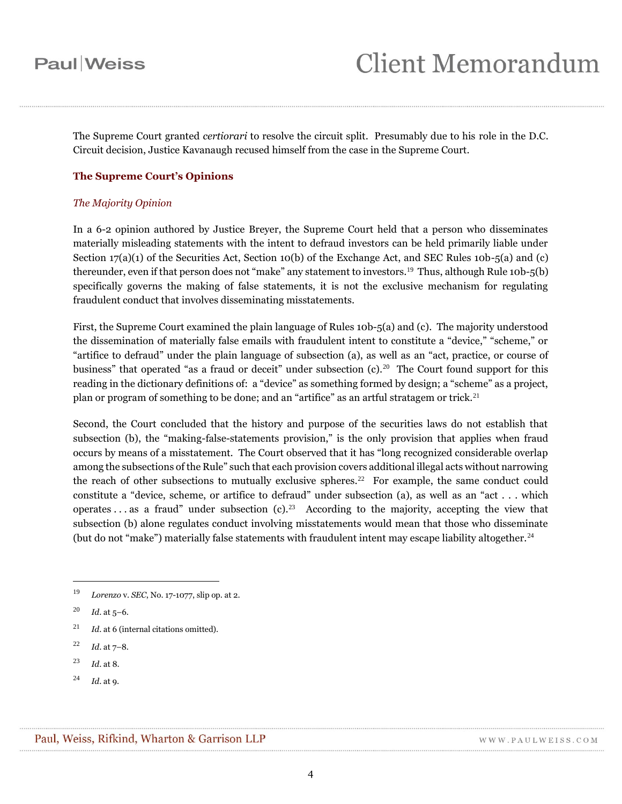The Supreme Court granted *certiorari* to resolve the circuit split. Presumably due to his role in the D.C. Circuit decision, Justice Kavanaugh recused himself from the case in the Supreme Court.

### **The Supreme Court's Opinions**

#### *The Majority Opinion*

In a 6-2 opinion authored by Justice Breyer, the Supreme Court held that a person who disseminates materially misleading statements with the intent to defraud investors can be held primarily liable under Section  $17(a)(1)$  of the Securities Act, Section 10(b) of the Exchange Act, and SEC Rules 10b-5(a) and (c) thereunder, even if that person does not "make" any statement to investors.<sup>19</sup> Thus, although Rule 10b-5(b) specifically governs the making of false statements, it is not the exclusive mechanism for regulating fraudulent conduct that involves disseminating misstatements.

First, the Supreme Court examined the plain language of Rules 10b-5(a) and (c). The majority understood the dissemination of materially false emails with fraudulent intent to constitute a "device," "scheme," or "artifice to defraud" under the plain language of subsection (a), as well as an "act, practice, or course of business" that operated "as a fraud or deceit" under subsection (c).<sup>20</sup> The Court found support for this reading in the dictionary definitions of: a "device" as something formed by design; a "scheme" as a project, plan or program of something to be done; and an "artifice" as an artful stratagem or trick.<sup>21</sup>

Second, the Court concluded that the history and purpose of the securities laws do not establish that subsection (b), the "making-false-statements provision," is the only provision that applies when fraud occurs by means of a misstatement. The Court observed that it has "long recognized considerable overlap among the subsections of the Rule" such that each provision covers additional illegal acts without narrowing the reach of other subsections to mutually exclusive spheres.<sup>22</sup> For example, the same conduct could constitute a "device, scheme, or artifice to defraud" under subsection (a), as well as an "act . . . which operates... as a fraud" under subsection (c).<sup>23</sup> According to the majority, accepting the view that subsection (b) alone regulates conduct involving misstatements would mean that those who disseminate (but do not "make") materially false statements with fraudulent intent may escape liability altogether.<sup>24</sup>

<sup>19</sup> *Lorenzo* v. *SEC*, No. 17-1077, slip op. at 2.

<sup>20</sup> *Id*. at 5–6.

<sup>21</sup> *Id*. at 6 (internal citations omitted).

<sup>22</sup> *Id*. at 7–8.

<sup>23</sup> *Id*. at 8.

<sup>24</sup> *Id*. at 9.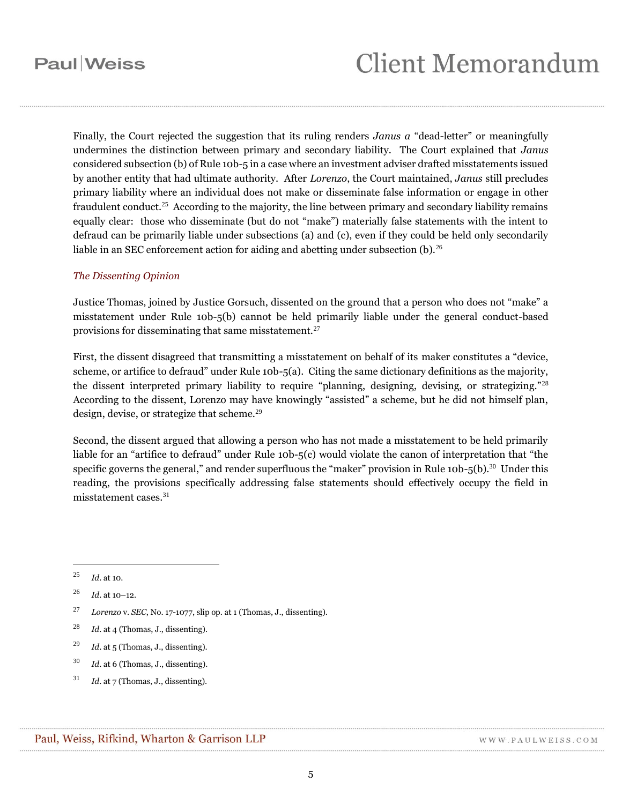# **Client Memorandum**

Finally, the Court rejected the suggestion that its ruling renders *Janus a* "dead-letter" or meaningfully undermines the distinction between primary and secondary liability. The Court explained that *Janus*  considered subsection (b) of Rule 10b-5 in a case where an investment adviser drafted misstatements issued by another entity that had ultimate authority. After *Lorenzo*, the Court maintained, *Janus* still precludes primary liability where an individual does not make or disseminate false information or engage in other fraudulent conduct.<sup>25</sup> According to the majority, the line between primary and secondary liability remains equally clear: those who disseminate (but do not "make") materially false statements with the intent to defraud can be primarily liable under subsections (a) and (c), even if they could be held only secondarily liable in an SEC enforcement action for aiding and abetting under subsection  $(b)$ .<sup>26</sup>

#### *The Dissenting Opinion*

Justice Thomas, joined by Justice Gorsuch, dissented on the ground that a person who does not "make" a misstatement under Rule 10b-5(b) cannot be held primarily liable under the general conduct-based provisions for disseminating that same misstatement.<sup>27</sup>

First, the dissent disagreed that transmitting a misstatement on behalf of its maker constitutes a "device, scheme, or artifice to defraud" under Rule 10b-5(a). Citing the same dictionary definitions as the majority, the dissent interpreted primary liability to require "planning, designing, devising, or strategizing."<sup>28</sup> According to the dissent, Lorenzo may have knowingly "assisted" a scheme, but he did not himself plan, design, devise, or strategize that scheme.<sup>29</sup>

Second, the dissent argued that allowing a person who has not made a misstatement to be held primarily liable for an "artifice to defraud" under Rule 10b-5(c) would violate the canon of interpretation that "the specific governs the general," and render superfluous the "maker" provision in Rule 10b-5(b).<sup>30</sup> Under this reading, the provisions specifically addressing false statements should effectively occupy the field in misstatement cases.<sup>31</sup>

<sup>25</sup> *Id*. at 10.

- <sup>29</sup> *Id*. at 5 (Thomas, J., dissenting).
- <sup>30</sup> *Id*. at 6 (Thomas, J., dissenting).
- <sup>31</sup> *Id*. at 7 (Thomas, J., dissenting).

<sup>26</sup> *Id*. at 10–12.

<sup>27</sup> *Lorenzo* v. *SEC*, No. 17-1077, slip op. at 1 (Thomas, J., dissenting).

<sup>28</sup> *Id*. at 4 (Thomas, J., dissenting).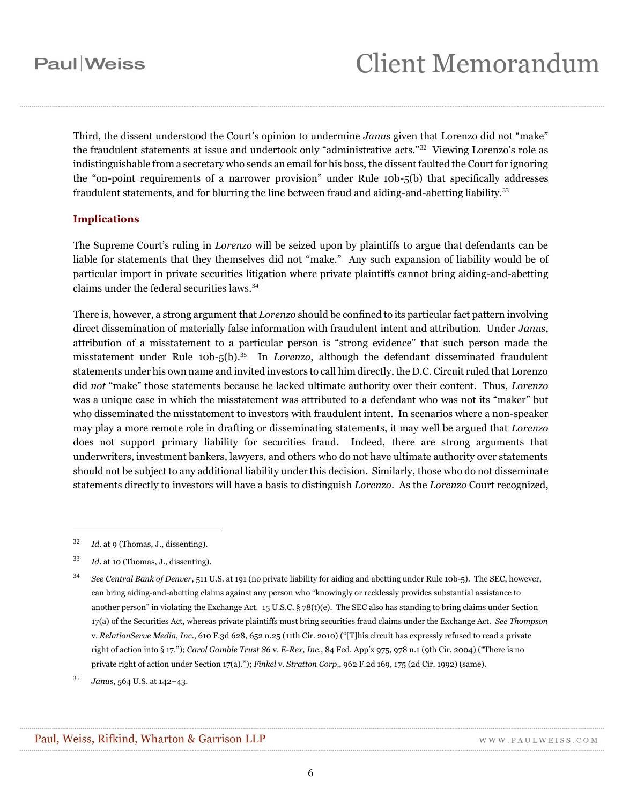Third, the dissent understood the Court's opinion to undermine *Janus* given that Lorenzo did not "make" the fraudulent statements at issue and undertook only "administrative acts."<sup>32</sup> Viewing Lorenzo's role as indistinguishable from a secretary who sends an email for his boss, the dissent faulted the Court for ignoring the "on-point requirements of a narrower provision" under Rule 10b-5(b) that specifically addresses fraudulent statements, and for blurring the line between fraud and aiding-and-abetting liability.<sup>33</sup>

### **Implications**

The Supreme Court's ruling in *Lorenzo* will be seized upon by plaintiffs to argue that defendants can be liable for statements that they themselves did not "make." Any such expansion of liability would be of particular import in private securities litigation where private plaintiffs cannot bring aiding-and-abetting claims under the federal securities laws.<sup>34</sup>

There is, however, a strong argument that *Lorenzo* should be confined to its particular fact pattern involving direct dissemination of materially false information with fraudulent intent and attribution. Under *Janus*, attribution of a misstatement to a particular person is "strong evidence" that such person made the misstatement under Rule 10b-5(b).<sup>35</sup> In *Lorenzo*, although the defendant disseminated fraudulent statements under his own name and invited investors to call him directly, the D.C. Circuit ruled that Lorenzo did *not* "make" those statements because he lacked ultimate authority over their content. Thus, *Lorenzo* was a unique case in which the misstatement was attributed to a defendant who was not its "maker" but who disseminated the misstatement to investors with fraudulent intent. In scenarios where a non-speaker may play a more remote role in drafting or disseminating statements, it may well be argued that *Lorenzo* does not support primary liability for securities fraud. Indeed, there are strong arguments that underwriters, investment bankers, lawyers, and others who do not have ultimate authority over statements should not be subject to any additional liability under this decision. Similarly, those who do not disseminate statements directly to investors will have a basis to distinguish *Lorenzo*. As the *Lorenzo* Court recognized,

<sup>32</sup> *Id*. at 9 (Thomas, J., dissenting).

<sup>33</sup> *Id*. at 10 (Thomas, J., dissenting).

<sup>34</sup> *See Central Bank of Denver*, 511 U.S. at 191 (no private liability for aiding and abetting under Rule 10b-5). The SEC, however, can bring aiding-and-abetting claims against any person who "knowingly or recklessly provides substantial assistance to another person" in violating the Exchange Act. 15 U.S.C. § 78(t)(e). The SEC also has standing to bring claims under Section 17(a) of the Securities Act, whereas private plaintiffs must bring securities fraud claims under the Exchange Act. *See Thompson* v. *RelationServe Media, Inc*., 610 F.3d 628, 652 n.25 (11th Cir. 2010) ("[T]his circuit has expressly refused to read a private right of action into § 17."); *Carol Gamble Trust 86* v. *E-Rex, Inc*., 84 Fed. App'x 975, 978 n.1 (9th Cir. 2004) ("There is no private right of action under Section 17(a)."); *Finkel* v. *Stratton Corp*., 962 F.2d 169, 175 (2d Cir. 1992) (same).

<sup>35</sup> *Janus*, 564 U.S. at 142–43.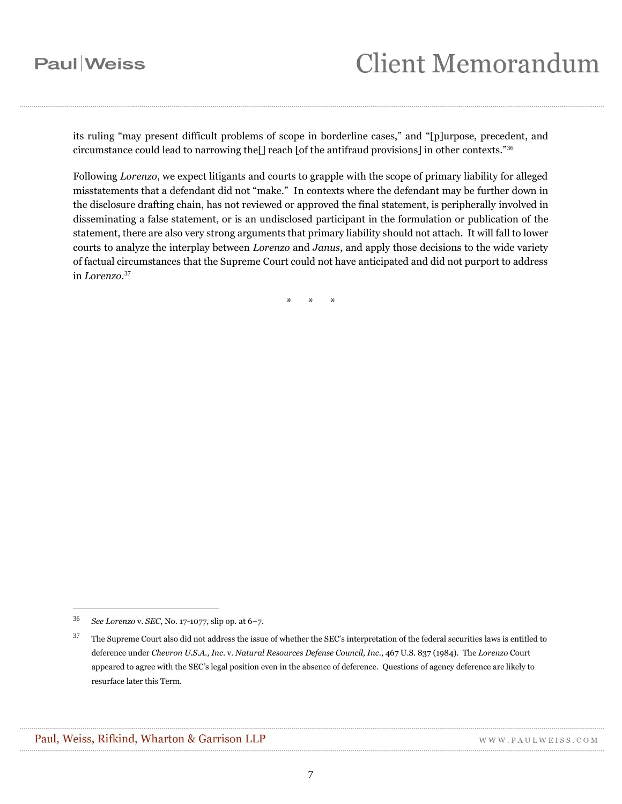## **Client Memorandum**

its ruling "may present difficult problems of scope in borderline cases," and "[p]urpose, precedent, and circumstance could lead to narrowing the[] reach [of the antifraud provisions] in other contexts."<sup>36</sup>

Following *Lorenzo*, we expect litigants and courts to grapple with the scope of primary liability for alleged misstatements that a defendant did not "make." In contexts where the defendant may be further down in the disclosure drafting chain, has not reviewed or approved the final statement, is peripherally involved in disseminating a false statement, or is an undisclosed participant in the formulation or publication of the statement, there are also very strong arguments that primary liability should not attach. It will fall to lower courts to analyze the interplay between *Lorenzo* and *Janus*, and apply those decisions to the wide variety of factual circumstances that the Supreme Court could not have anticipated and did not purport to address in *Lorenzo*. 37

\* \* \*

<sup>36</sup> *See Lorenzo* v. *SEC*, No. 17-1077, slip op. at 6–7.

 $37$  The Supreme Court also did not address the issue of whether the SEC's interpretation of the federal securities laws is entitled to deference under *Chevron U.S.A., Inc*. v. *Natural Resources Defense Council, Inc*., 467 U.S. 837 (1984). The *Lorenzo* Court appeared to agree with the SEC's legal position even in the absence of deference. Questions of agency deference are likely to resurface later this Term.